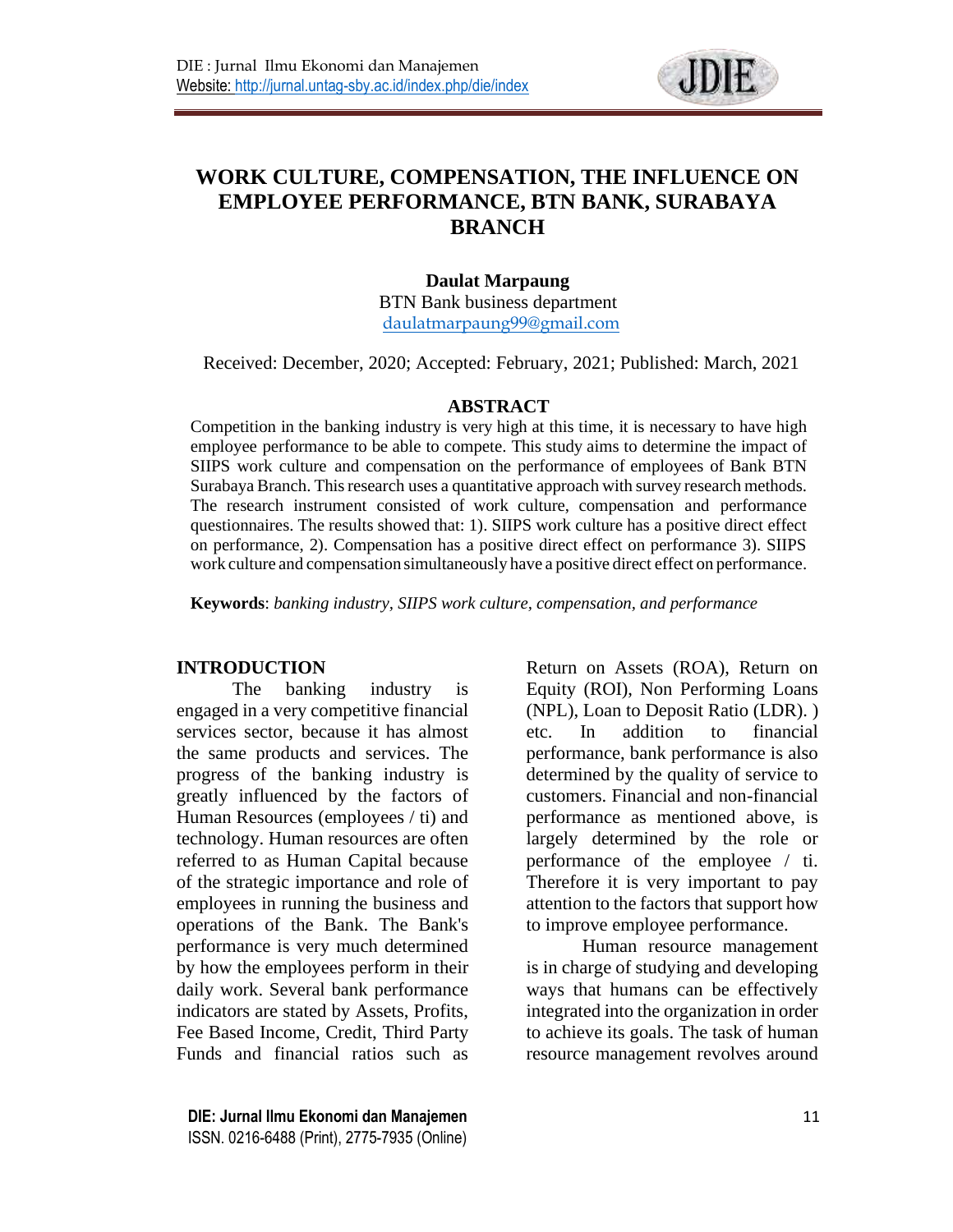

# **WORK CULTURE, COMPENSATION, THE INFLUENCE ON EMPLOYEE PERFORMANCE, BTN BANK, SURABAYA BRANCH**

#### **Daulat Marpaung**

BTN Bank business department [daulatmarpaung99@gmail.com](mailto:daulatmarpaung99@gmail.com)

Received: December, 2020; Accepted: February, 2021; Published: March, 2021

#### **ABSTRACT**

Competition in the banking industry is very high at this time, it is necessary to have high employee performance to be able to compete. This study aims to determine the impact of SIIPS work culture and compensation on the performance of employees of Bank BTN Surabaya Branch. This research uses a quantitative approach with survey research methods. The research instrument consisted of work culture, compensation and performance questionnaires. The results showed that: 1). SIIPS work culture has a positive direct effect on performance, 2). Compensation has a positive direct effect on performance 3). SIIPS work culture and compensation simultaneously have a positive direct effect on performance.

**Keywords**: *banking industry, SIIPS work culture, compensation, and performance*

#### **INTRODUCTION**

The banking industry is engaged in a very competitive financial services sector, because it has almost the same products and services. The progress of the banking industry is greatly influenced by the factors of Human Resources (employees / ti) and technology. Human resources are often referred to as Human Capital because of the strategic importance and role of employees in running the business and operations of the Bank. The Bank's performance is very much determined by how the employees perform in their daily work. Several bank performance indicators are stated by Assets, Profits, Fee Based Income, Credit, Third Party Funds and financial ratios such as

**DIE: Jurnal Ilmu Ekonomi dan Manajemen** 11 ISSN. 0216-6488 (Print), 2775-7935 (Online)

Return on Assets (ROA), Return on Equity (ROI), Non Performing Loans (NPL), Loan to Deposit Ratio (LDR). ) etc. In addition to financial performance, bank performance is also determined by the quality of service to customers. Financial and non-financial performance as mentioned above, is largely determined by the role or performance of the employee / ti. Therefore it is very important to pay attention to the factors that support how to improve employee performance.

Human resource management is in charge of studying and developing ways that humans can be effectively integrated into the organization in order to achieve its goals. The task of human resource management revolves around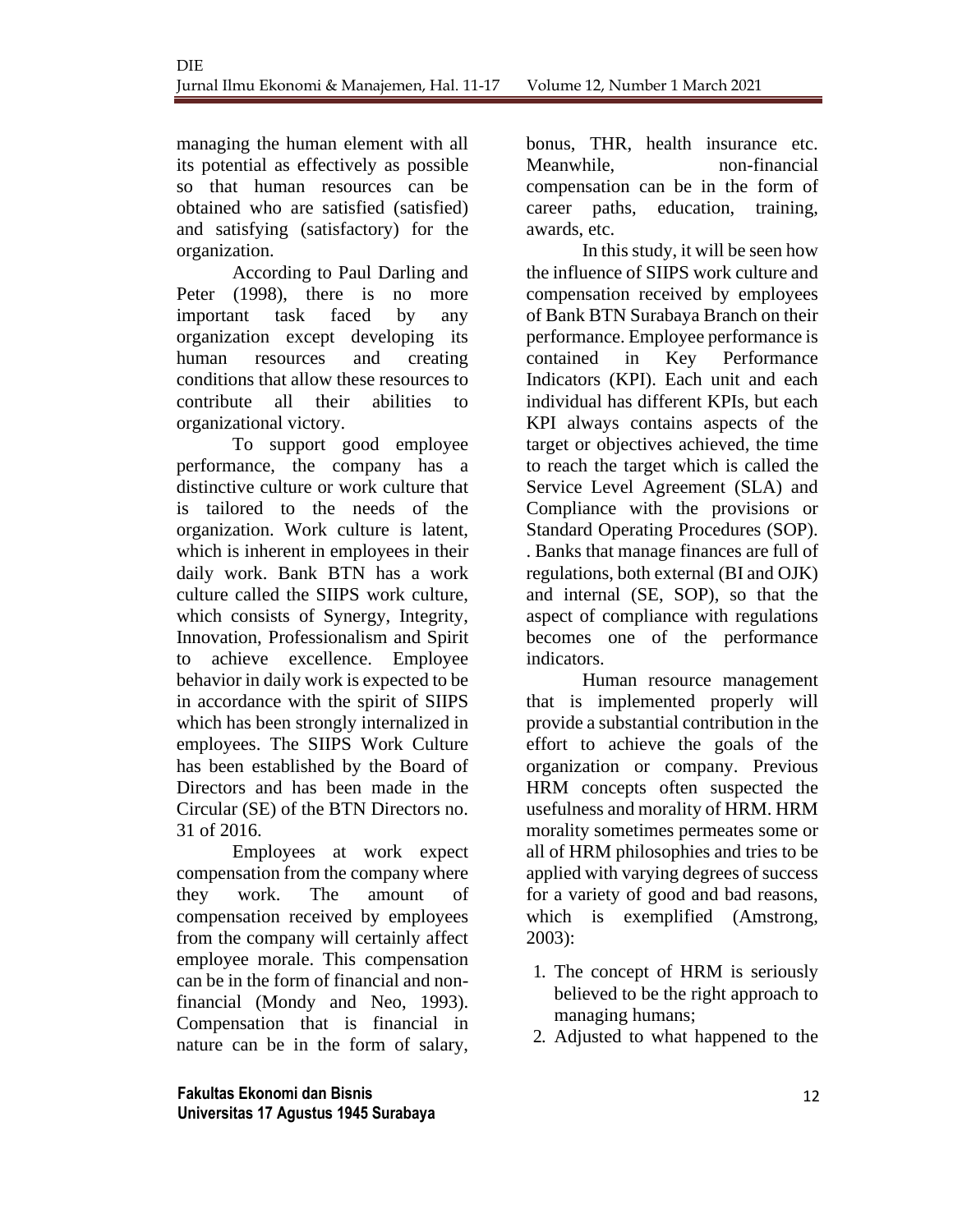managing the human element with all its potential as effectively as possible so that human resources can be obtained who are satisfied (satisfied) and satisfying (satisfactory) for the organization.

According to Paul Darling and Peter (1998), there is no more important task faced by any organization except developing its human resources and creating conditions that allow these resources to contribute all their abilities to organizational victory.

To support good employee performance, the company has a distinctive culture or work culture that is tailored to the needs of the organization. Work culture is latent, which is inherent in employees in their daily work. Bank BTN has a work culture called the SIIPS work culture, which consists of Synergy, Integrity, Innovation, Professionalism and Spirit to achieve excellence. Employee behavior in daily work is expected to be in accordance with the spirit of SIIPS which has been strongly internalized in employees. The SIIPS Work Culture has been established by the Board of Directors and has been made in the Circular (SE) of the BTN Directors no. 31 of 2016.

Employees at work expect compensation from the company where they work. The amount of compensation received by employees from the company will certainly affect employee morale. This compensation can be in the form of financial and nonfinancial (Mondy and Neo, 1993). Compensation that is financial in nature can be in the form of salary,

**Fakultas Ekonomi dan Bisnis** 12 **Universitas 17 Agustus 1945 Surabaya**

bonus, THR, health insurance etc. Meanwhile, non-financial compensation can be in the form of career paths, education, training, awards, etc.

In this study, it will be seen how the influence of SIIPS work culture and compensation received by employees of Bank BTN Surabaya Branch on their performance. Employee performance is contained in Key Performance Indicators (KPI). Each unit and each individual has different KPIs, but each KPI always contains aspects of the target or objectives achieved, the time to reach the target which is called the Service Level Agreement (SLA) and Compliance with the provisions or Standard Operating Procedures (SOP). . Banks that manage finances are full of regulations, both external (BI and OJK) and internal (SE, SOP), so that the aspect of compliance with regulations becomes one of the performance indicators.

Human resource management that is implemented properly will provide a substantial contribution in the effort to achieve the goals of the organization or company. Previous HRM concepts often suspected the usefulness and morality of HRM. HRM morality sometimes permeates some or all of HRM philosophies and tries to be applied with varying degrees of success for a variety of good and bad reasons, which is exemplified (Amstrong, 2003):

- 1. The concept of HRM is seriously believed to be the right approach to managing humans;
- 2. Adjusted to what happened to the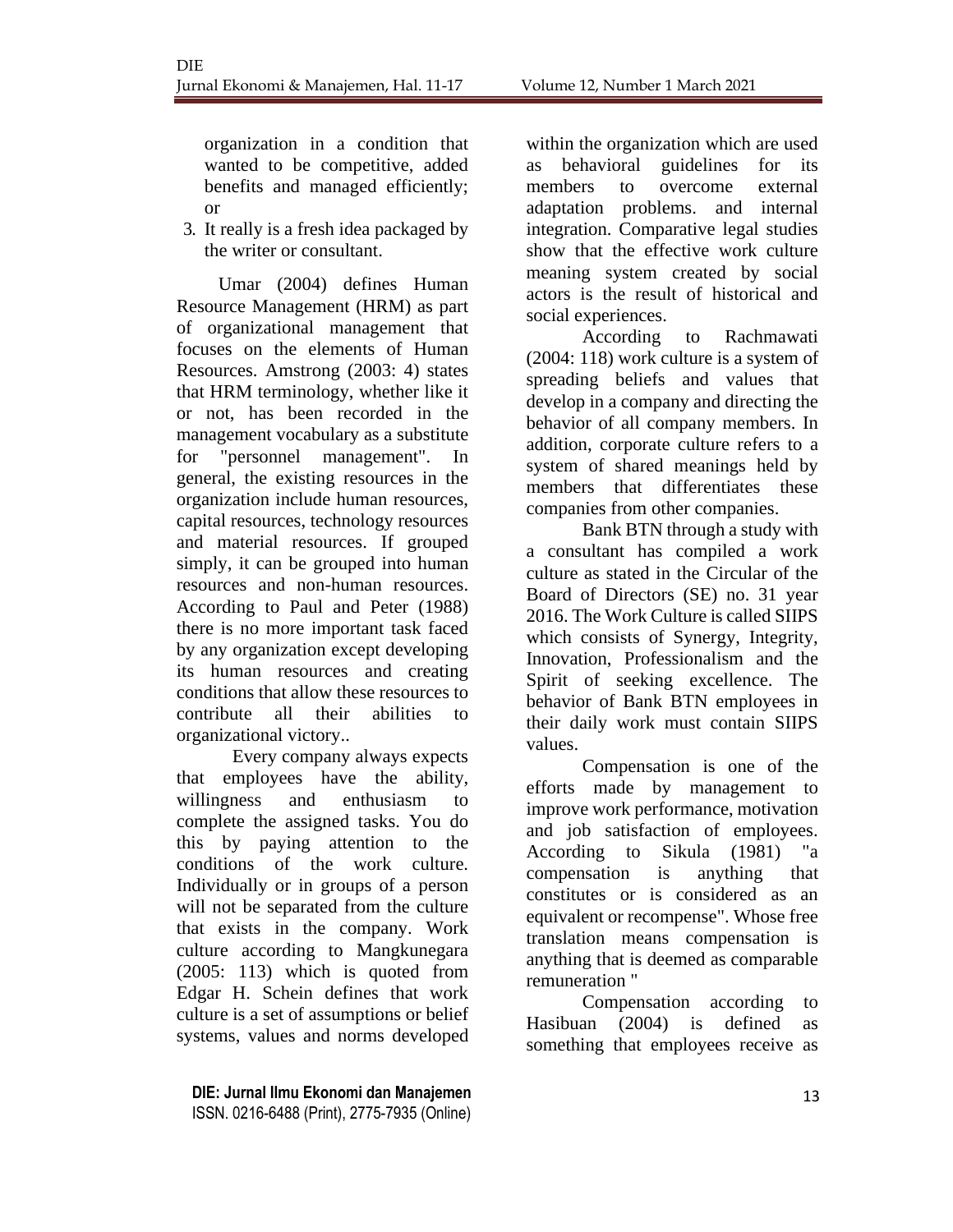organization in a condition that wanted to be competitive, added benefits and managed efficiently; or

3. It really is a fresh idea packaged by the writer or consultant.

Umar (2004) defines Human Resource Management (HRM) as part of organizational management that focuses on the elements of Human Resources. Amstrong (2003: 4) states that HRM terminology, whether like it or not, has been recorded in the management vocabulary as a substitute for "personnel management". In general, the existing resources in the organization include human resources, capital resources, technology resources and material resources. If grouped simply, it can be grouped into human resources and non-human resources. According to Paul and Peter (1988) there is no more important task faced by any organization except developing its human resources and creating conditions that allow these resources to contribute all their abilities to organizational victory..

Every company always expects that employees have the ability, willingness and enthusiasm to complete the assigned tasks. You do this by paying attention to the conditions of the work culture. Individually or in groups of a person will not be separated from the culture that exists in the company. Work culture according to Mangkunegara (2005: 113) which is quoted from Edgar H. Schein defines that work culture is a set of assumptions or belief systems, values and norms developed

within the organization which are used as behavioral guidelines for its members to overcome external adaptation problems. and internal integration. Comparative legal studies show that the effective work culture meaning system created by social actors is the result of historical and social experiences.

According to Rachmawati (2004: 118) work culture is a system of spreading beliefs and values that develop in a company and directing the behavior of all company members. In addition, corporate culture refers to a system of shared meanings held by members that differentiates these companies from other companies.

Bank BTN through a study with a consultant has compiled a work culture as stated in the Circular of the Board of Directors (SE) no. 31 year 2016. The Work Culture is called SIIPS which consists of Synergy, Integrity, Innovation, Professionalism and the Spirit of seeking excellence. The behavior of Bank BTN employees in their daily work must contain SIIPS values.

Compensation is one of the efforts made by management to improve work performance, motivation and job satisfaction of employees. According to Sikula (1981) "a compensation is anything that constitutes or is considered as an equivalent or recompense". Whose free translation means compensation is anything that is deemed as comparable remuneration "

Compensation according to Hasibuan (2004) is defined as something that employees receive as

**DIE: Jurnal Ilmu Ekonomi dan Manajemen** 13 ISSN. 0216-6488 (Print), 2775-7935 (Online)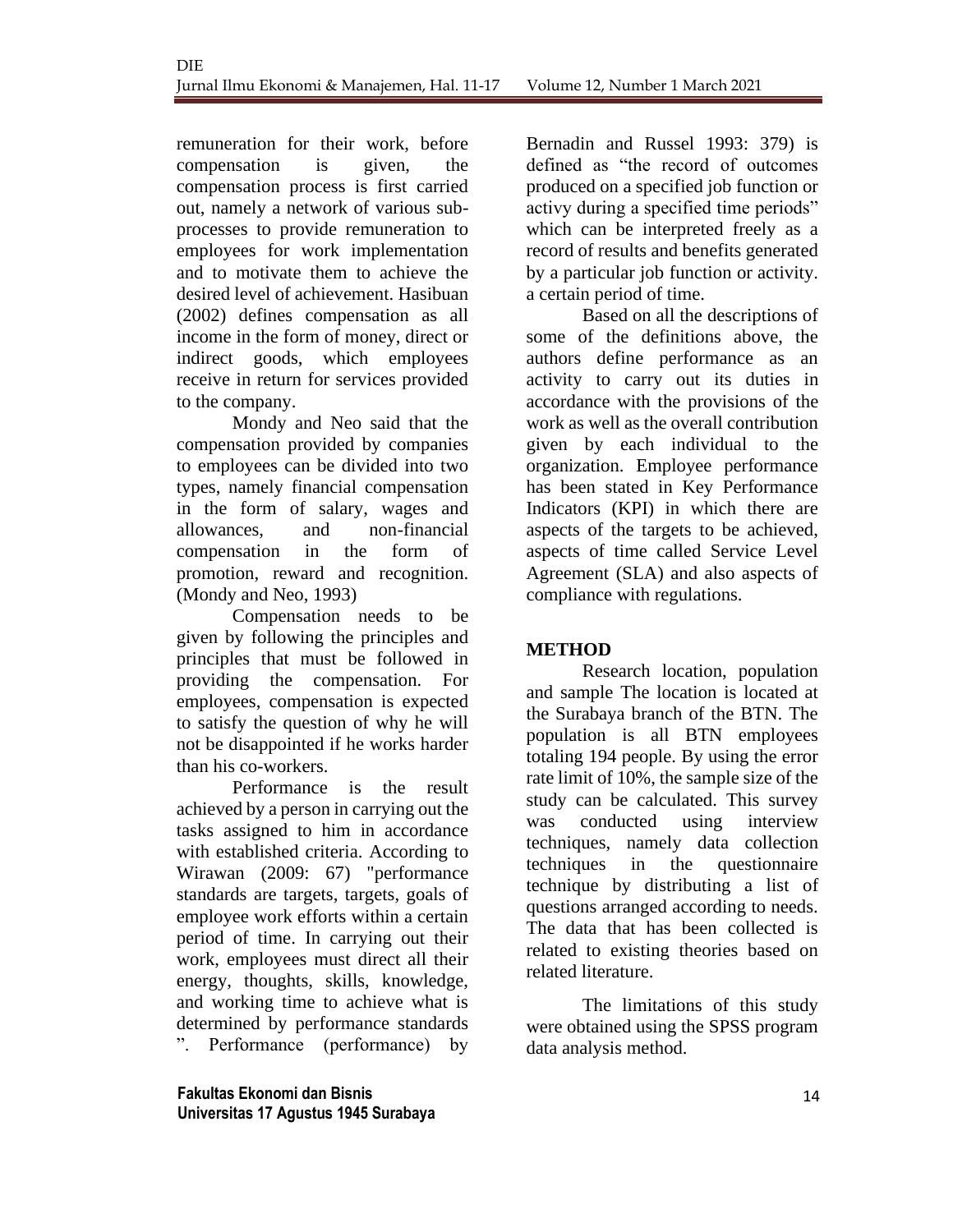remuneration for their work, before compensation is given, the compensation process is first carried out, namely a network of various subprocesses to provide remuneration to employees for work implementation and to motivate them to achieve the desired level of achievement. Hasibuan (2002) defines compensation as all income in the form of money, direct or indirect goods, which employees receive in return for services provided to the company.

Mondy and Neo said that the compensation provided by companies to employees can be divided into two types, namely financial compensation in the form of salary, wages and allowances, and non-financial compensation in the form of promotion, reward and recognition. (Mondy and Neo, 1993)

Compensation needs to be given by following the principles and principles that must be followed in providing the compensation. For employees, compensation is expected to satisfy the question of why he will not be disappointed if he works harder than his co-workers.

Performance is the result achieved by a person in carrying out the tasks assigned to him in accordance with established criteria. According to Wirawan (2009: 67) "performance standards are targets, targets, goals of employee work efforts within a certain period of time. In carrying out their work, employees must direct all their energy, thoughts, skills, knowledge, and working time to achieve what is determined by performance standards ". Performance (performance) by

**Fakultas Ekonomi dan Bisnis** 14 **Universitas 17 Agustus 1945 Surabaya**

Bernadin and Russel 1993: 379) is defined as "the record of outcomes produced on a specified job function or activy during a specified time periods" which can be interpreted freely as a record of results and benefits generated by a particular job function or activity. a certain period of time.

Based on all the descriptions of some of the definitions above, the authors define performance as an activity to carry out its duties in accordance with the provisions of the work as well as the overall contribution given by each individual to the organization. Employee performance has been stated in Key Performance Indicators (KPI) in which there are aspects of the targets to be achieved, aspects of time called Service Level Agreement (SLA) and also aspects of compliance with regulations.

## **METHOD**

Research location, population and sample The location is located at the Surabaya branch of the BTN. The population is all BTN employees totaling 194 people. By using the error rate limit of 10%, the sample size of the study can be calculated. This survey was conducted using interview techniques, namely data collection techniques in the questionnaire technique by distributing a list of questions arranged according to needs. The data that has been collected is related to existing theories based on related literature.

The limitations of this study were obtained using the SPSS program data analysis method.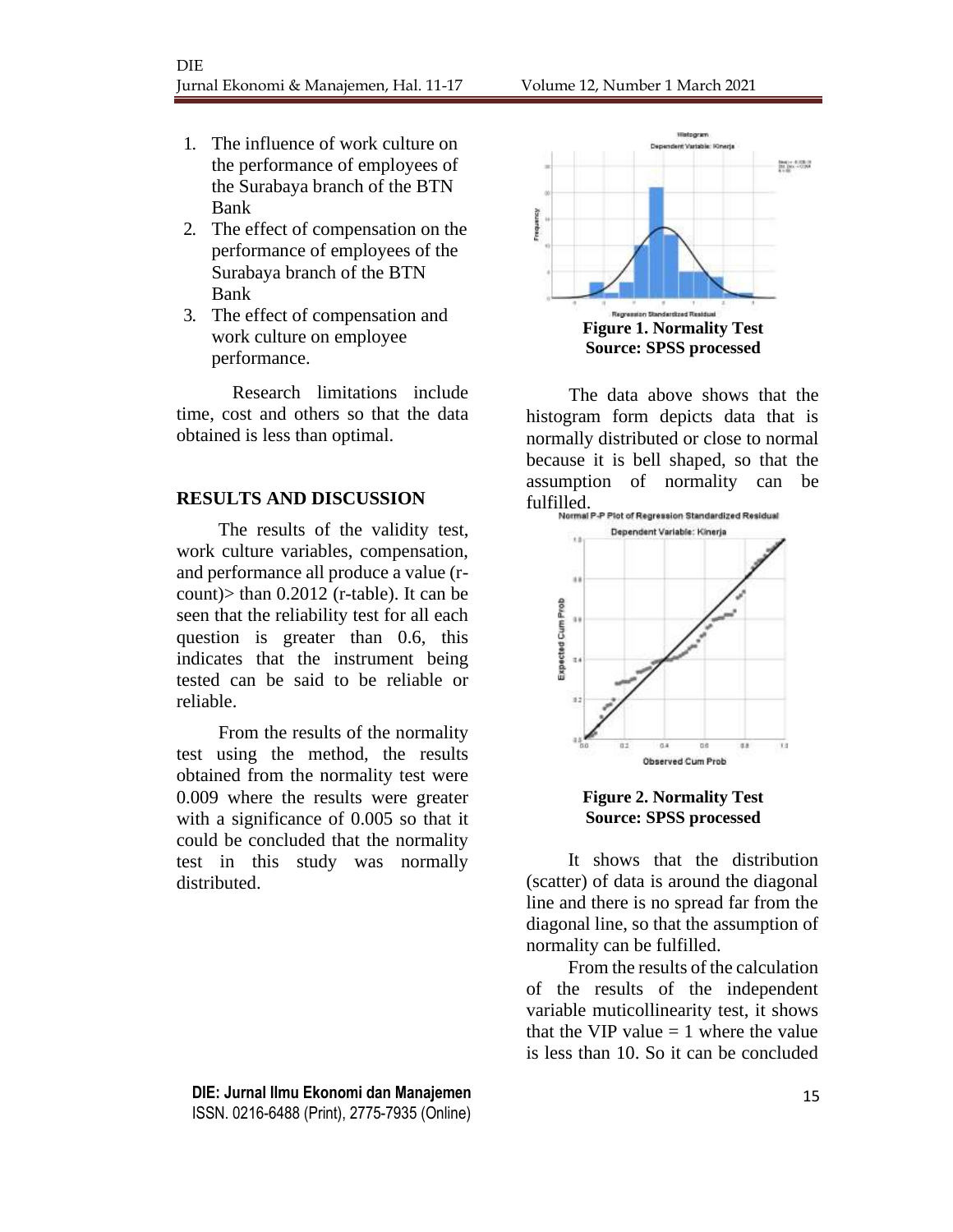- 1. The influence of work culture on the performance of employees of the Surabaya branch of the BTN Bank
- 2. The effect of compensation on the performance of employees of the Surabaya branch of the BTN Bank
- 3. The effect of compensation and work culture on employee performance.

Research limitations include time, cost and others so that the data obtained is less than optimal.

#### **RESULTS AND DISCUSSION**

The results of the validity test, work culture variables, compensation, and performance all produce a value (rcount)> than 0.2012 (r-table). It can be seen that the reliability test for all each question is greater than 0.6, this indicates that the instrument being tested can be said to be reliable or reliable.

From the results of the normality test using the method, the results obtained from the normality test were 0.009 where the results were greater with a significance of 0.005 so that it could be concluded that the normality test in this study was normally distributed.



The data above shows that the histogram form depicts data that is normally distributed or close to normal because it is bell shaped, so that the assumption of normality can be fulfilled.<br>Normal P-P Plot of Regression Standardized Residual



**Figure 2. Normality Test Source: SPSS processed**

It shows that the distribution (scatter) of data is around the diagonal line and there is no spread far from the diagonal line, so that the assumption of normality can be fulfilled.

From the results of the calculation of the results of the independent variable muticollinearity test, it shows that the VIP value  $= 1$  where the value is less than 10. So it can be concluded

**DIE: Jurnal Ilmu Ekonomi dan Manajemen** 15 ISSN. 0216-6488 (Print), 2775-7935 (Online)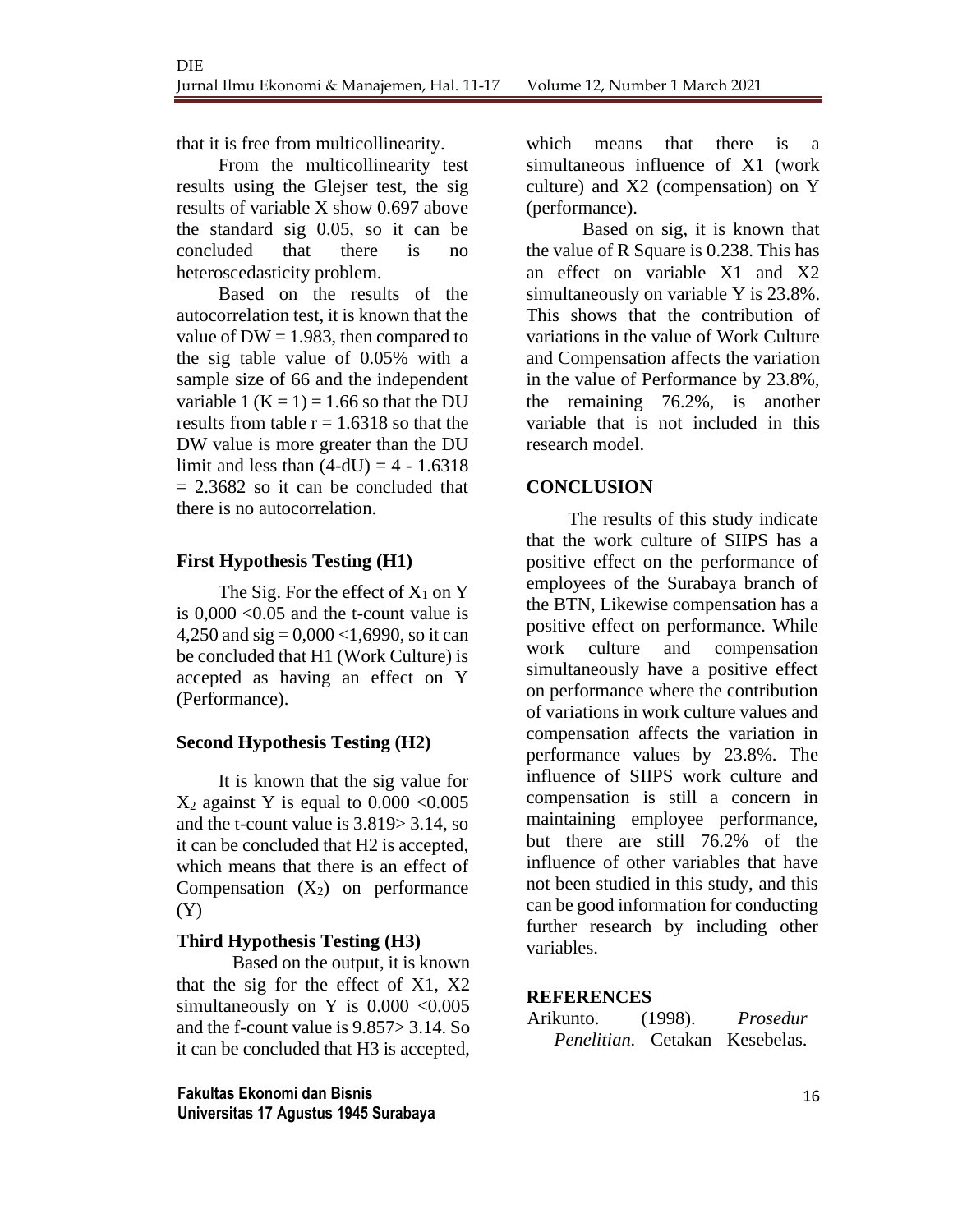that it is free from multicollinearity.

From the multicollinearity test results using the Glejser test, the sig results of variable X show 0.697 above the standard sig 0.05, so it can be concluded that there is no heteroscedasticity problem.

Based on the results of the autocorrelation test, it is known that the value of  $DW = 1.983$ , then compared to the sig table value of 0.05% with a sample size of 66 and the independent variable 1  $(K = 1) = 1.66$  so that the DU results from table  $r = 1.6318$  so that the DW value is more greater than the DU limit and less than  $(4-dU) = 4 - 1.6318$  $= 2.3682$  so it can be concluded that there is no autocorrelation.

### **First Hypothesis Testing (H1)**

The Sig. For the effect of  $X_1$  on Y is 0,000 <0.05 and the t-count value is 4,250 and  $sig = 0.000 \le 1.6990$ , so it can be concluded that H1 (Work Culture) is accepted as having an effect on Y (Performance).

### **Second Hypothesis Testing (H2)**

It is known that the sig value for  $X_2$  against Y is equal to 0.000 < 0.005 and the t-count value is 3.819> 3.14, so it can be concluded that H2 is accepted, which means that there is an effect of Compensation  $(X_2)$  on performance (Y)

### **Third Hypothesis Testing (H3)**

Based on the output, it is known that the sig for the effect of X1, X2 simultaneously on Y is  $0.000 < 0.005$ and the f-count value is 9.857> 3.14. So it can be concluded that H3 is accepted,

**Fakultas Ekonomi dan Bisnis** 16 **Universitas 17 Agustus 1945 Surabaya**

which means that there is a simultaneous influence of X1 (work culture) and X2 (compensation) on Y (performance).

Based on sig, it is known that the value of R Square is 0.238. This has an effect on variable X1 and X2 simultaneously on variable Y is 23.8%. This shows that the contribution of variations in the value of Work Culture and Compensation affects the variation in the value of Performance by 23.8%, the remaining 76.2%, is another variable that is not included in this research model.

### **CONCLUSION**

The results of this study indicate that the work culture of SIIPS has a positive effect on the performance of employees of the Surabaya branch of the BTN, Likewise compensation has a positive effect on performance. While work culture and compensation simultaneously have a positive effect on performance where the contribution of variations in work culture values and compensation affects the variation in performance values by 23.8%. The influence of SIIPS work culture and compensation is still a concern in maintaining employee performance, but there are still 76.2% of the influence of other variables that have not been studied in this study, and this can be good information for conducting further research by including other variables.

### **REFERENCES**

Arikunto. (1998). *Prosedur Penelitian.* Cetakan Kesebelas.